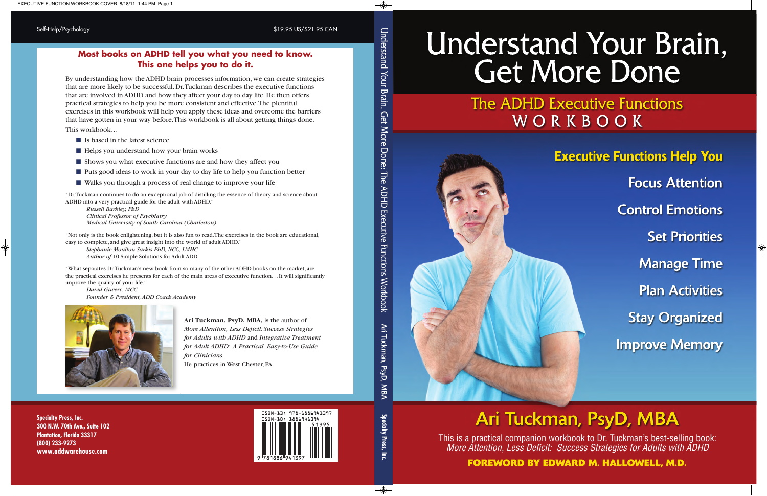# Understand Your Brain, Get More Done

The ADHD Executive Functions WORKBOOK



# Ari Tuckman, PsyD, MBA

This is a practical companion workbook to Dr. Tuckman's best-selling book: More Attention, Less Deficit: Success Strategies for Adults with ADHD

**FOREWORD BY EDWARD M. HALLOWELL, M.D.**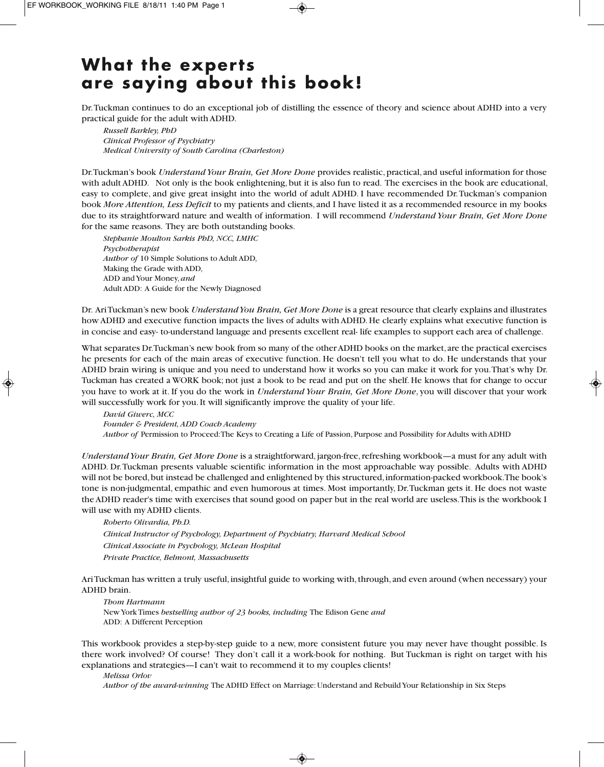# **What the experts** are saying about this book!

Dr. Tuckman continues to do an exceptional job of distilling the essence of theory and science about ADHD into a very practical guide for the adult with ADHD.

*Russell Barkley, PhD Clinical Professor of Psychiatry Medical University of South Carolina (Charleston)*

Dr. Tuckman's book *Understand Your Brain, Get More Done* provides realistic, practical, and useful information for those with adult ADHD. Not only is the book enlightening, but it is also fun to read. The exercises in the book are educational, easy to complete, and give great insight into the world of adult ADHD. I have recommended Dr. Tuckman's companion book *More Attention, Less Deficit* to my patients and clients, and I have listed it as a recommended resource in my books due to its straightforward nature and wealth of information. I will recommend *Understand Your Brain, Get More Done* for the same reasons. They are both outstanding books.

*Stephanie Moulton Sarkis PhD, NCC, LMHC Psychotherapist Author of* 10 Simple Solutions to Adult ADD, Making the Grade with ADD, ADD and Your Money, *and* Adult ADD: A Guide for the Newly Diagnosed

Dr. Ari Tuckman's new book *Understand You Brain, Get More Done* is a great resource that clearly explains and illustrates how ADHD and executive function impacts the lives of adults with ADHD. He clearly explains what executive function is in concise and easy- to-understand language and presents excellent real- life examples to support each area of challenge.

What separates Dr. Tuckman's new book from so many of the other ADHD books on the market, are the practical exercises he presents for each of the main areas of executive function. He doesn't tell you what to do. He understands that your ADHD brain wiring is unique and you need to understand how it works so you can make it work for you. That's why Dr. Tuckman has created a WORK book; not just a book to be read and put on the shelf. He knows that for change to occur you have to work at it. If you do the work in *Understand Your Brain, Get More Done*, you will discover that your work will successfully work for you. It will significantly improve the quality of your life.

*David Giwerc, MCC Founder & President, ADD Coach Academy Author of* Permission to Proceed: The Keys to Creating a Life of Passion, Purpose and Possibility for Adults with ADHD

*Understand Your Brain, Get More Done* is a straightforward, jargon-free, refreshing workbook—a must for any adult with ADHD. Dr. Tuckman presents valuable scientific information in the most approachable way possible. Adults with ADHD will not be bored, but instead be challenged and enlightened by this structured, information-packed workbook. The book's tone is non-judgmental, empathic and even humorous at times. Most importantly, Dr. Tuckman gets it. He does not waste the ADHD reader's time with exercises that sound good on paper but in the real world are useless. This is the workbook I will use with my ADHD clients.

*Roberto Olivardia, Ph.D. Clinical Instructor of Psychology, Department of Psychiatry, Harvard Medical School Clinical Associate in Psychology, McLean Hospital Private Practice, Belmont, Massachusetts*

Ari Tuckman has written a truly useful, insightful guide to working with, through, and even around (when necessary) your ADHD brain.

*Thom Hartmann* New York Times *bestselling author of 23 books, including* The Edison Gene *and* ADD: A Different Perception

This workbook provides a step-by-step guide to a new, more consistent future you may never have thought possible. Is there work involved? Of course! They don't call it a work-book for nothing. But Tuckman is right on target with his explanations and strategies—I can't wait to recommend it to my couples clients!

*Melissa Orlov*

*Author of the award-winning* The ADHD Effect on Marriage: Understand and Rebuild Your Relationship in Six Steps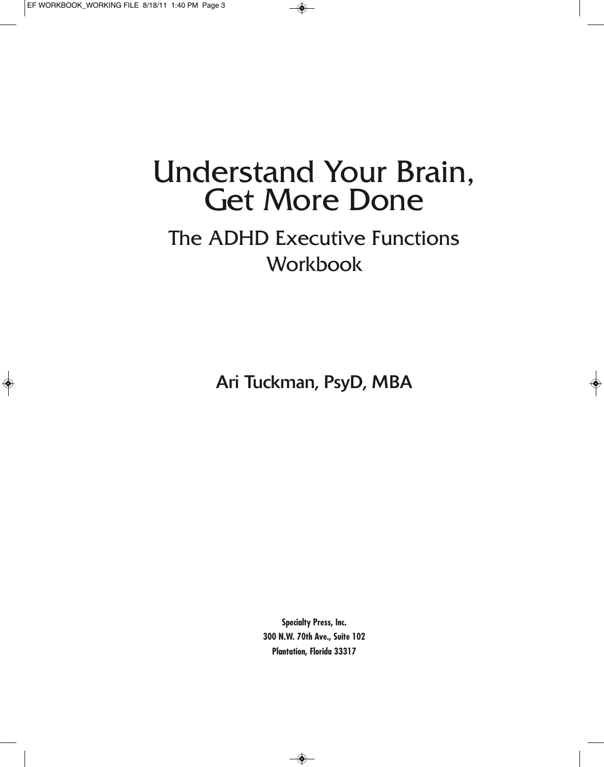# Understand Your Brain, Get More Done

# The ADHD Executive Functions **Workbook**

Ari Tuckman, PsyD, MBA

**Specialty Press, Inc. 300 N.W. 70th Ave., Suite 102 Plantation, Florida 33317**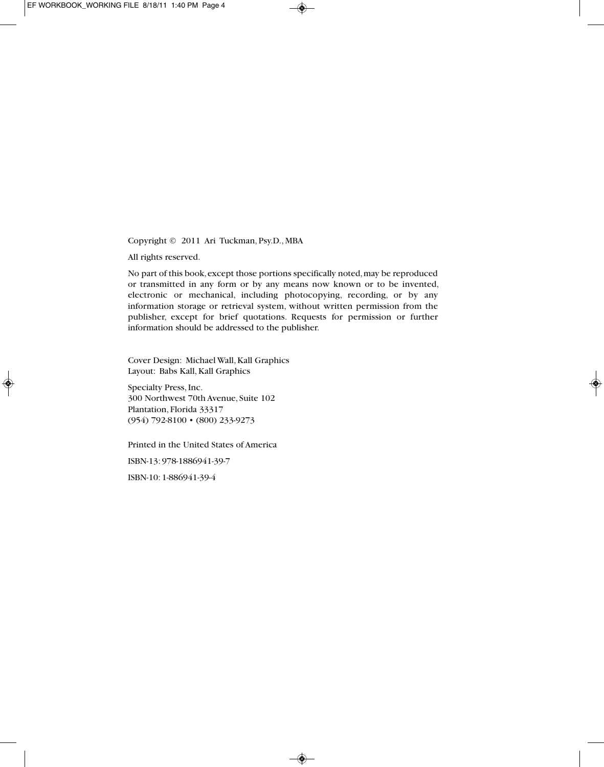Copyright © 2011 Ari Tuckman, Psy.D., MBA

All rights reserved.

No part of this book, except those portions specifically noted, may be reproduced or transmitted in any form or by any means now known or to be invented, electronic or mechanical, including photocopying, recording, or by any information storage or retrieval system, without written permission from the publisher, except for brief quotations. Requests for permission or further information should be addressed to the publisher.

Cover Design: Michael Wall, Kall Graphics Layout: Babs Kall, Kall Graphics

Specialty Press, Inc. 300 Northwest 70th Avenue, Suite 102 Plantation, Florida 33317 (954) 792-8100 • (800) 233-9273

Printed in the United States of America

ISBN-13: 978-1886941-39-7

ISBN-10: 1-886941-39-4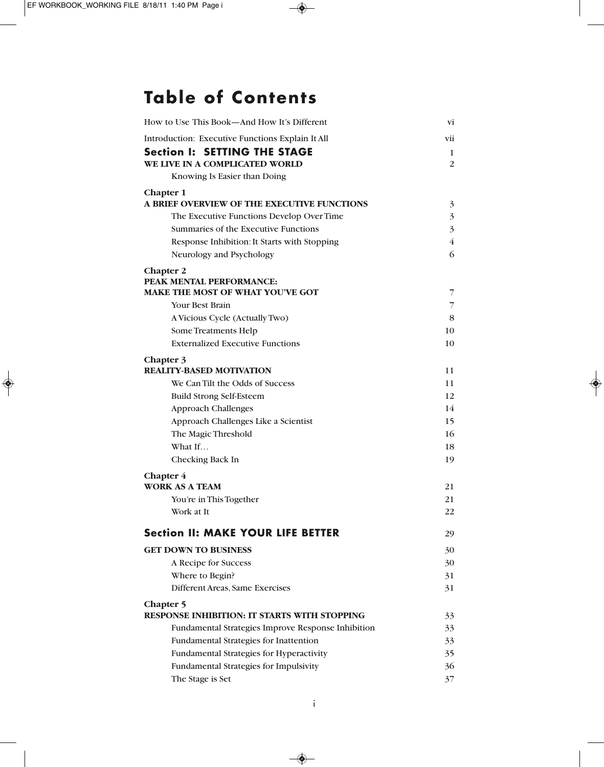# **Table of Contents**

| How to Use This Book—And How It's Different         | vi             |
|-----------------------------------------------------|----------------|
| Introduction: Executive Functions Explain It All    | vii            |
| <b>Section I: SETTING THE STAGE</b>                 | 1              |
| WE LIVE IN A COMPLICATED WORLD                      | 2              |
| Knowing Is Easier than Doing                        |                |
| <b>Chapter 1</b>                                    |                |
| A BRIEF OVERVIEW OF THE EXECUTIVE FUNCTIONS         | 3              |
| The Executive Functions Develop Over Time           | 3              |
| Summaries of the Executive Functions                | $\overline{3}$ |
| Response Inhibition: It Starts with Stopping        | $\overline{4}$ |
| Neurology and Psychology                            | 6              |
| <b>Chapter 2</b>                                    |                |
| PEAK MENTAL PERFORMANCE:                            |                |
| <b>MAKE THE MOST OF WHAT YOU'VE GOT</b>             | 7              |
| <b>Your Best Brain</b>                              | 7              |
| A Vicious Cycle (Actually Two)                      | 8              |
| Some Treatments Help                                | 10             |
| <b>Externalized Executive Functions</b>             | 10             |
| Chapter 3                                           |                |
| <b>REALITY-BASED MOTIVATION</b>                     | 11             |
| We Can Tilt the Odds of Success                     | 11             |
| <b>Build Strong Self-Esteem</b>                     | 12             |
| <b>Approach Challenges</b>                          | 14             |
| Approach Challenges Like a Scientist                | 15             |
| The Magic Threshold                                 | 16             |
| What If                                             | 18             |
| Checking Back In                                    | 19             |
| Chapter 4                                           |                |
| <b>WORK AS A TEAM</b>                               | 21             |
| You're in This Together                             | 21             |
| Work at It                                          | 22             |
| <b>Section II: MAKE YOUR LIFE BETTER</b>            | 29             |
|                                                     |                |
| <b>GET DOWN TO BUSINESS</b>                         | 30             |
| A Recipe for Success                                | 30             |
| Where to Begin?                                     | 31             |
| Different Areas, Same Exercises                     | 31             |
| Chapter 5                                           |                |
| <b>RESPONSE INHIBITION: IT STARTS WITH STOPPING</b> | 33             |
| Fundamental Strategies Improve Response Inhibition  | 33             |
| Fundamental Strategies for Inattention              | 33             |
| Fundamental Strategies for Hyperactivity            | 35             |
| Fundamental Strategies for Impulsivity              | 36             |
| The Stage is Set                                    | 37             |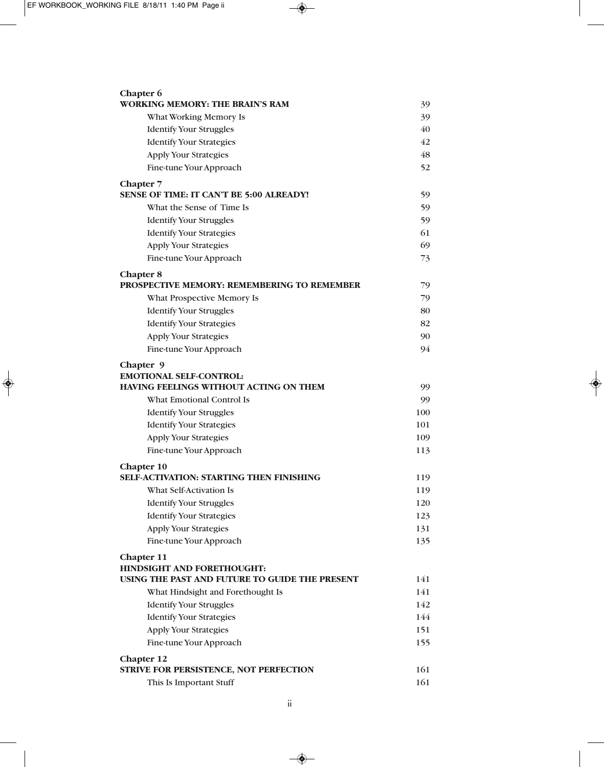| Chapter 6                                          |     |
|----------------------------------------------------|-----|
| <b>WORKING MEMORY: THE BRAIN'S RAM</b>             | 39  |
| What Working Memory Is                             | 39  |
| <b>Identify Your Struggles</b>                     | 40  |
| <b>Identify Your Strategies</b>                    | 42  |
| <b>Apply Your Strategies</b>                       | 48  |
| Fine-tune Your Approach                            | 52  |
| <b>Chapter</b> 7                                   |     |
| SENSE OF TIME: IT CAN'T BE 5:00 ALREADY!           | 59  |
| What the Sense of Time Is                          | 59  |
| <b>Identify Your Struggles</b>                     | 59  |
| <b>Identify Your Strategies</b>                    | 61  |
| <b>Apply Your Strategies</b>                       | 69  |
| Fine-tune Your Approach                            | 73  |
| <b>Chapter 8</b>                                   |     |
| <b>PROSPECTIVE MEMORY: REMEMBERING TO REMEMBER</b> | 79  |
| What Prospective Memory Is                         | 79  |
| <b>Identify Your Struggles</b>                     | 80  |
| <b>Identify Your Strategies</b>                    | 82  |
| <b>Apply Your Strategies</b>                       | 90  |
| Fine-tune Your Approach                            | 94  |
| Chapter 9                                          |     |
| <b>EMOTIONAL SELF-CONTROL:</b>                     |     |
| <b>HAVING FEELINGS WITHOUT ACTING ON THEM</b>      | 99  |
| What Emotional Control Is                          | 99  |
| <b>Identify Your Struggles</b>                     | 100 |
| <b>Identify Your Strategies</b>                    | 101 |
| <b>Apply Your Strategies</b>                       | 109 |
| Fine-tune Your Approach                            | 113 |
| <b>Chapter 10</b>                                  |     |
| <b>SELF-ACTIVATION: STARTING THEN FINISHING</b>    | 119 |
| What Self-Activation Is                            | 119 |
| <b>Identify Your Struggles</b>                     | 120 |
| <b>Identify Your Strategies</b>                    | 123 |
| <b>Apply Your Strategies</b>                       | 131 |
| Fine-tune Your Approach                            | 135 |
| <b>Chapter 11</b>                                  |     |
| <b>HINDSIGHT AND FORETHOUGHT:</b>                  |     |
| USING THE PAST AND FUTURE TO GUIDE THE PRESENT     | 141 |
| What Hindsight and Forethought Is                  | 141 |
| <b>Identify Your Struggles</b>                     | 142 |
| <b>Identify Your Strategies</b>                    | 144 |
| <b>Apply Your Strategies</b>                       | 151 |
| Fine-tune Your Approach                            | 155 |
| <b>Chapter 12</b>                                  |     |
| STRIVE FOR PERSISTENCE, NOT PERFECTION             | 161 |
| This Is Important Stuff                            | 161 |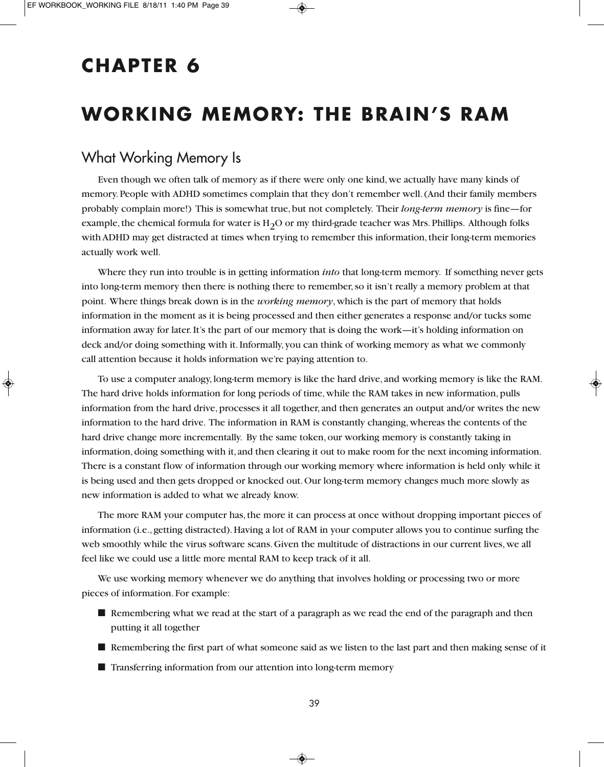# **CHAPTER 6**

# **WORKING MEMORY: THE BRAIN'S RAM**

## **What Working Memory Is**

Even though we often talk of memory as if there were only one kind, we actually have many kinds of memory. People with ADHD sometimes complain that they don't remember well. (And their family members probably complain more!) This is somewhat true, but not completely. Their *long-term memory* is fine—for example, the chemical formula for water is  $H_2O$  or my third-grade teacher was Mrs. Phillips. Although folks with ADHD may get distracted at times when trying to remember this information, their long-term memories actually work well.

Where they run into trouble is in getting information *into* that long-term memory. If something never gets into long-term memory then there is nothing there to remember, so it isn't really a memory problem at that point. Where things break down is in the *working memory*, which is the part of memory that holds information in the moment as it is being processed and then either generates a response and/or tucks some information away for later. It's the part of our memory that is doing the work—it's holding information on deck and/or doing something with it. Informally, you can think of working memory as what we commonly call attention because it holds information we're paying attention to.

To use a computer analogy, long-term memory is like the hard drive, and working memory is like the RAM. The hard drive holds information for long periods of time, while the RAM takes in new information, pulls information from the hard drive, processes it all together, and then generates an output and/or writes the new information to the hard drive. The information in RAM is constantly changing, whereas the contents of the hard drive change more incrementally. By the same token, our working memory is constantly taking in information, doing something with it, and then clearing it out to make room for the next incoming information. There is a constant flow of information through our working memory where information is held only while it is being used and then gets dropped or knocked out. Our long-term memory changes much more slowly as new information is added to what we already know.

The more RAM your computer has, the more it can process at once without dropping important pieces of information (i.e., getting distracted). Having a lot of RAM in your computer allows you to continue surfing the web smoothly while the virus software scans. Given the multitude of distractions in our current lives, we all feel like we could use a little more mental RAM to keep track of it all.

We use working memory whenever we do anything that involves holding or processing two or more pieces of information. For example:

- Remembering what we read at the start of a paragraph as we read the end of the paragraph and then putting it all together
- **■** Remembering the first part of what someone said as we listen to the last part and then making sense of it
- Transferring information from our attention into long-term memory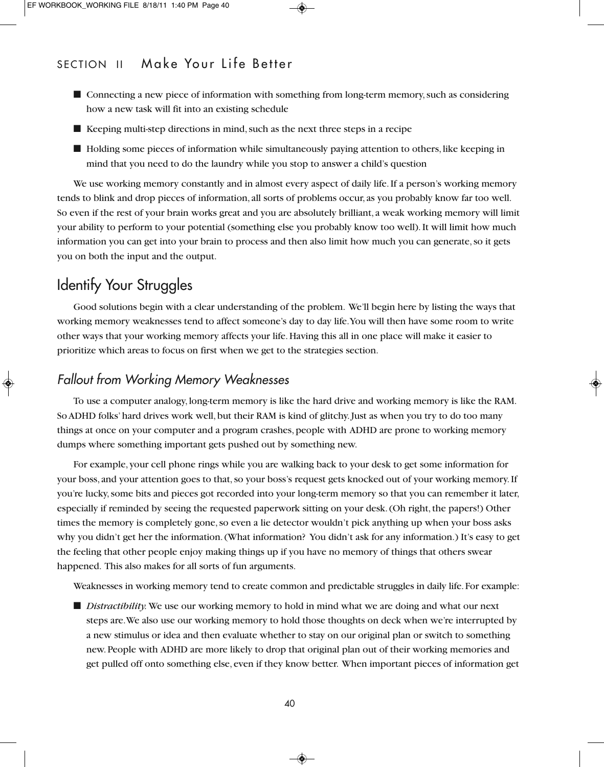- Connecting a new piece of information with something from long-term memory, such as considering how a new task will fit into an existing schedule
- Keeping multi-step directions in mind, such as the next three steps in a recipe
- Holding some pieces of information while simultaneously paying attention to others, like keeping in mind that you need to do the laundry while you stop to answer a child's question

We use working memory constantly and in almost every aspect of daily life. If a person's working memory tends to blink and drop pieces of information, all sorts of problems occur, as you probably know far too well. So even if the rest of your brain works great and you are absolutely brilliant, a weak working memory will limit your ability to perform to your potential (something else you probably know too well). It will limit how much information you can get into your brain to process and then also limit how much you can generate, so it gets you on both the input and the output.

### **Identify Your Struggles**

Good solutions begin with a clear understanding of the problem. We'll begin here by listing the ways that working memory weaknesses tend to affect someone's day to day life. You will then have some room to write other ways that your working memory affects your life. Having this all in one place will make it easier to prioritize which areas to focus on first when we get to the strategies section.

#### *Fallout from Working Memory Weaknesses*

To use a computer analogy, long-term memory is like the hard drive and working memory is like the RAM. So ADHD folks' hard drives work well, but their RAM is kind of glitchy. Just as when you try to do too many things at once on your computer and a program crashes, people with ADHD are prone to working memory dumps where something important gets pushed out by something new.

For example, your cell phone rings while you are walking back to your desk to get some information for your boss, and your attention goes to that, so your boss's request gets knocked out of your working memory. If you're lucky, some bits and pieces got recorded into your long-term memory so that you can remember it later, especially if reminded by seeing the requested paperwork sitting on your desk. (Oh right, the papers!) Other times the memory is completely gone, so even a lie detector wouldn't pick anything up when your boss asks why you didn't get her the information. (What information? You didn't ask for any information.) It's easy to get the feeling that other people enjoy making things up if you have no memory of things that others swear happened. This also makes for all sorts of fun arguments.

Weaknesses in working memory tend to create common and predictable struggles in daily life. For example:

■ *Distractibility*. We use our working memory to hold in mind what we are doing and what our next steps are. We also use our working memory to hold those thoughts on deck when we're interrupted by a new stimulus or idea and then evaluate whether to stay on our original plan or switch to something new. People with ADHD are more likely to drop that original plan out of their working memories and get pulled off onto something else, even if they know better. When important pieces of information get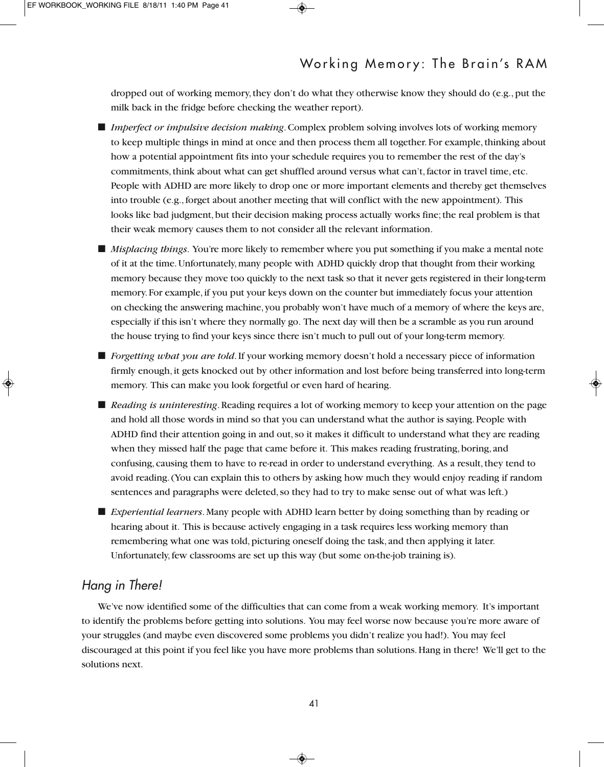dropped out of working memory, they don't do what they otherwise know they should do (e.g., put the milk back in the fridge before checking the weather report).

- *Imperfect or <i>impulsive decision making*. Complex problem solving involves lots of working memory to keep multiple things in mind at once and then process them all together. For example, thinking about how a potential appointment fits into your schedule requires you to remember the rest of the day's commitments, think about what can get shuffled around versus what can't, factor in travel time, etc. People with ADHD are more likely to drop one or more important elements and thereby get themselves into trouble (e.g., forget about another meeting that will conflict with the new appointment). This looks like bad judgment, but their decision making process actually works fine; the real problem is that their weak memory causes them to not consider all the relevant information.
- *Misplacing things*. You're more likely to remember where you put something if you make a mental note of it at the time. Unfortunately, many people with ADHD quickly drop that thought from their working memory because they move too quickly to the next task so that it never gets registered in their long-term memory. For example, if you put your keys down on the counter but immediately focus your attention on checking the answering machine, you probably won't have much of a memory of where the keys are, especially if this isn't where they normally go. The next day will then be a scramble as you run around the house trying to find your keys since there isn't much to pull out of your long-term memory.
- *Forgetting what you are told*. If your working memory doesn't hold a necessary piece of information firmly enough, it gets knocked out by other information and lost before being transferred into long-term memory. This can make you look forgetful or even hard of hearing.
- *Reading is uninteresting*. Reading requires a lot of working memory to keep your attention on the page and hold all those words in mind so that you can understand what the author is saying. People with ADHD find their attention going in and out, so it makes it difficult to understand what they are reading when they missed half the page that came before it. This makes reading frustrating, boring, and confusing, causing them to have to re-read in order to understand everything. As a result, they tend to avoid reading. (You can explain this to others by asking how much they would enjoy reading if random sentences and paragraphs were deleted, so they had to try to make sense out of what was left.)
- *Experiential learners*. Many people with ADHD learn better by doing something than by reading or hearing about it. This is because actively engaging in a task requires less working memory than remembering what one was told, picturing oneself doing the task, and then applying it later. Unfortunately, few classrooms are set up this way (but some on-the-job training is).

#### *Hang in There!*

We've now identified some of the difficulties that can come from a weak working memory. It's important to identify the problems before getting into solutions. You may feel worse now because you're more aware of your struggles (and maybe even discovered some problems you didn't realize you had!). You may feel discouraged at this point if you feel like you have more problems than solutions. Hang in there! We'll get to the solutions next.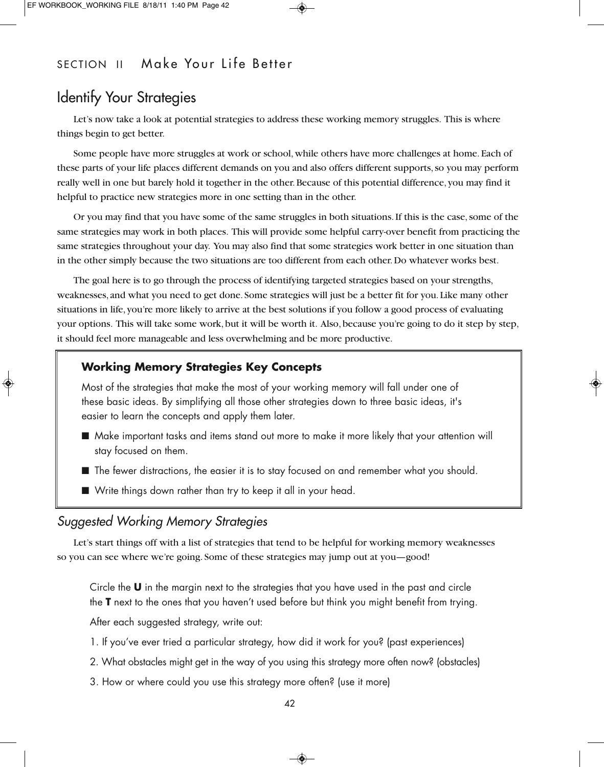## **Identify Your Strategies**

Let's now take a look at potential strategies to address these working memory struggles. This is where things begin to get better.

Some people have more struggles at work or school, while others have more challenges at home. Each of these parts of your life places different demands on you and also offers different supports, so you may perform really well in one but barely hold it together in the other. Because of this potential difference, you may find it helpful to practice new strategies more in one setting than in the other.

Or you may find that you have some of the same struggles in both situations. If this is the case, some of the same strategies may work in both places. This will provide some helpful carry-over benefit from practicing the same strategies throughout your day. You may also find that some strategies work better in one situation than in the other simply because the two situations are too different from each other. Do whatever works best.

The goal here is to go through the process of identifying targeted strategies based on your strengths, weaknesses, and what you need to get done. Some strategies will just be a better fit for you. Like many other situations in life, you're more likely to arrive at the best solutions if you follow a good process of evaluating your options. This will take some work, but it will be worth it. Also, because you're going to do it step by step, it should feel more manageable and less overwhelming and be more productive.

#### **Working Memory Strategies Key Concepts**

Most of the strategies that make the most of your working memory will fall under one of these basic ideas. By simplifying all those other strategies down to three basic ideas, it's easier to learn the concepts and apply them later.

- Make important tasks and items stand out more to make it more likely that your attention will stay focused on them.
- The fewer distractions, the easier it is to stay focused on and remember what you should.
- Write things down rather than try to keep it all in your head.

#### *Suggested Working Memory Strategies*

Let's start things off with a list of strategies that tend to be helpful for working memory weaknesses so you can see where we're going. Some of these strategies may jump out at you—good!

Circle the **U** in the margin next to the strategies that you have used in the past and circle the **T** next to the ones that you haven't used before but think you might benefit from trying.

After each suggested strategy, write out:

- 1. If you've ever tried a particular strategy, how did it work for you? (past experiences)
- 2. What obstacles might get in the way of you using this strategy more often now? (obstacles)
- 3. How or where could you use this strategy more often? (use it more)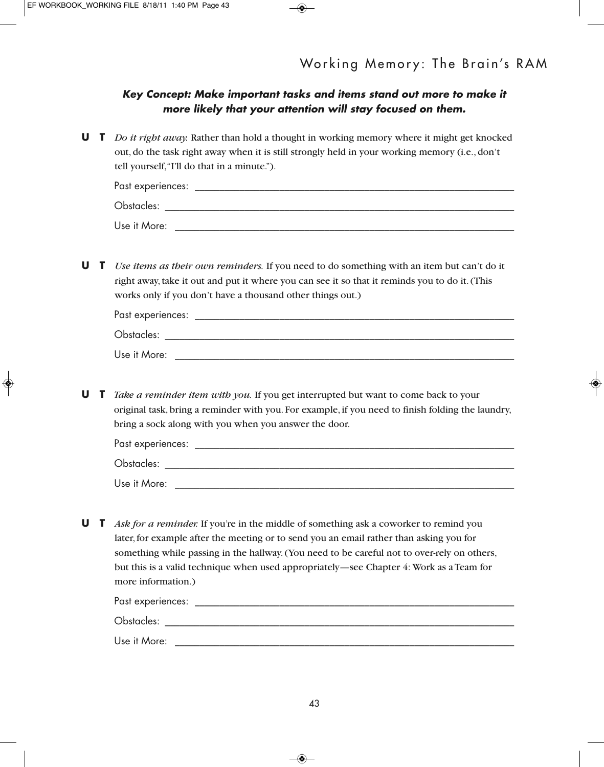#### *Key Concept: Make important tasks and items stand out more to make it more likely that your attention will stay focused on them.*

**U T** *Do it right away.* Rather than hold a thought in working memory where it might get knocked out, do the task right away when it is still strongly held in your working memory (i.e., don't tell yourself, "I'll do that in a minute.").

| Past experiences: |  |
|-------------------|--|
| Obstacles:        |  |
| Use it More:      |  |

**U T** *Use items as their own reminders.* If you need to do something with an item but can't do it right away, take it out and put it where you can see it so that it reminds you to do it. (This works only if you don't have a thousand other things out.)

| Past experiences: |  |
|-------------------|--|
| Obstacles:        |  |
| Use it More:      |  |

**U T** *Take a reminder item with you.* If you get interrupted but want to come back to your original task, bring a reminder with you. For example, if you need to finish folding the laundry, bring a sock along with you when you answer the door.

| Past experiences: |  |  |
|-------------------|--|--|
| Obstacles:        |  |  |
| Use it More:      |  |  |

**U T** *Ask for a reminder.* If you're in the middle of something ask a coworker to remind you later, for example after the meeting or to send you an email rather than asking you for something while passing in the hallway. (You need to be careful not to over-rely on others, but this is a valid technique when used appropriately—see Chapter 4: Work as a Team for more information.)

| Past experiences: |  |  |
|-------------------|--|--|
| Obstacles:        |  |  |
| Use it More:      |  |  |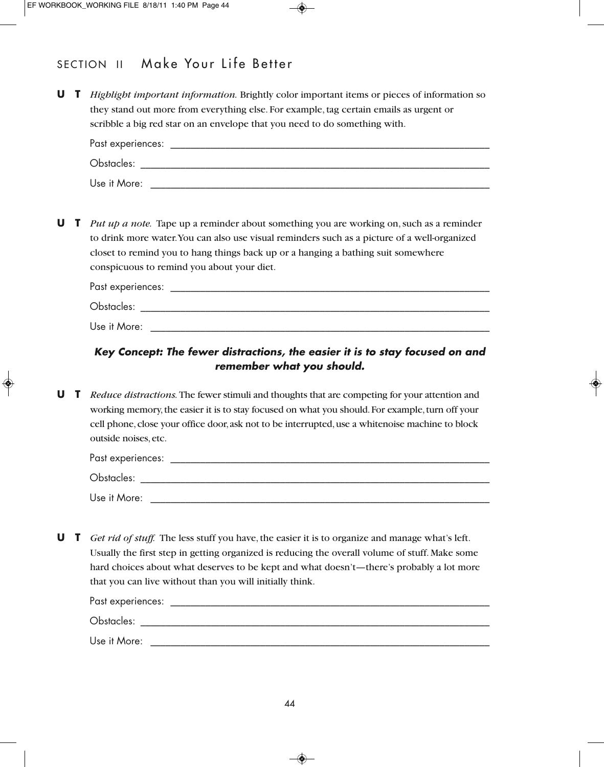**U T** *Highlight important information.* Brightly color important items or pieces of information so they stand out more from everything else. For example, tag certain emails as urgent or scribble a big red star on an envelope that you need to do something with.

| Past experiences: |  |
|-------------------|--|
| Obstacles:        |  |
| Use it More:      |  |

**U T** *Put up a note.* Tape up a reminder about something you are working on, such as a reminder to drink more water. You can also use visual reminders such as a picture of a well-organized closet to remind you to hang things back up or a hanging a bathing suit somewhere conspicuous to remind you about your diet.

| Past experiences: |  |  |
|-------------------|--|--|
| Obstacles:        |  |  |
| Use it More:      |  |  |

#### *Key Concept: The fewer distractions, the easier it is to stay focused on and remember what you should.*

**U T** *Reduce distractions.*The fewer stimuli and thoughts that are competing for your attention and working memory, the easier it is to stay focused on what you should. For example, turn off your cell phone, close your office door, ask not to be interrupted, use a whitenoise machine to block outside noises, etc.

| Past experiences: |  |
|-------------------|--|
| Obstacles:        |  |
| Use it More:      |  |

**U T** *Get rid of stuff.* The less stuff you have, the easier it is to organize and manage what's left. Usually the first step in getting organized is reducing the overall volume of stuff. Make some hard choices about what deserves to be kept and what doesn't—there's probably a lot more that you can live without than you will initially think.

| Past experiences: |  |  |
|-------------------|--|--|
| Obstacles:        |  |  |
| Use it More:      |  |  |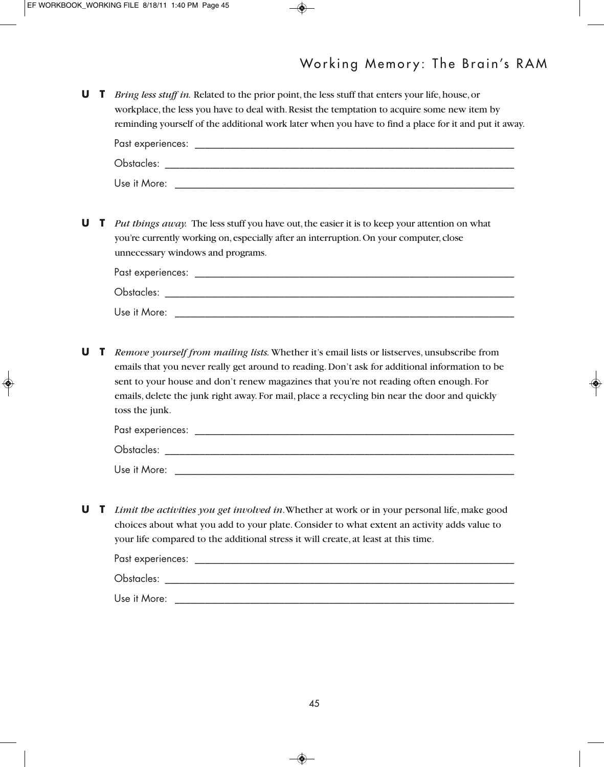#### Working Memory: The Brain's RAM

**U T** *Bring less stuff in.* Related to the prior point, the less stuff that enters your life, house, or workplace, the less you have to deal with. Resist the temptation to acquire some new item by reminding yourself of the additional work later when you have to find a place for it and put it away.

| Past experiences: |
|-------------------|
| Obstacles:        |
| Use it More:      |

**U T** *Put things away.* The less stuff you have out, the easier it is to keep your attention on what you're currently working on, especially after an interruption. On your computer, close unnecessary windows and programs.

| Past experiences: |  |  |
|-------------------|--|--|
| Obstacles:        |  |  |
| Use it More:      |  |  |

**U T** *Remove yourself from mailing lists.* Whether it's email lists or listserves, unsubscribe from emails that you never really get around to reading. Don't ask for additional information to be sent to your house and don't renew magazines that you're not reading often enough. For emails, delete the junk right away. For mail, place a recycling bin near the door and quickly toss the junk.

| Past experiences: |  |
|-------------------|--|
| Obstacles:        |  |
| Use it More:      |  |

**U T** *Limit the activities you get involved in*. Whether at work or in your personal life, make good choices about what you add to your plate. Consider to what extent an activity adds value to your life compared to the additional stress it will create, at least at this time.

| Past experiences: |  |  |
|-------------------|--|--|
| Obstacles:        |  |  |
| Use it More:      |  |  |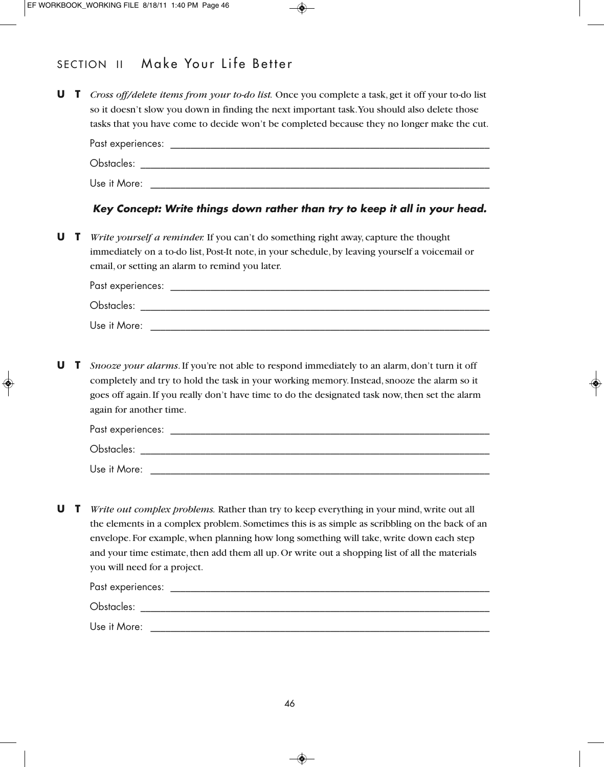**U T** *Cross off/delete items from your to-do list.* Once you complete a task, get it off your to-do list so it doesn't slow you down in finding the next important task. You should also delete those tasks that you have come to decide won't be completed because they no longer make the cut. Past experiences: \_\_\_\_\_\_\_\_\_\_\_\_\_\_\_\_\_\_\_\_\_\_\_\_\_\_\_\_\_\_\_\_\_\_\_\_\_\_\_\_\_\_\_\_\_\_\_\_\_\_\_\_\_\_\_\_\_\_\_\_\_\_\_\_

Obstacles: \_\_\_\_\_\_\_\_\_\_\_\_\_\_\_\_\_\_\_\_\_\_\_\_\_\_\_\_\_\_\_\_\_\_\_\_\_\_\_\_\_\_\_\_\_\_\_\_\_\_\_\_\_\_\_\_\_\_\_\_\_\_\_\_\_\_\_\_\_\_

Use it More:  $\Box$ 

#### *Key Concept: Write things down rather than try to keep it all in your head.*

**U T** *Write yourself a reminder.* If you can't do something right away, capture the thought immediately on a to-do list, Post-It note, in your schedule, by leaving yourself a voicemail or email, or setting an alarm to remind you later.

| Past experiences: |  |  |
|-------------------|--|--|
| Obstacles:        |  |  |
| Use it More:      |  |  |
|                   |  |  |

**U T** *Snooze your alarms*. If you're not able to respond immediately to an alarm, don't turn it off completely and try to hold the task in your working memory. Instead, snooze the alarm so it goes off again. If you really don't have time to do the designated task now, then set the alarm again for another time.

| Past experiences: |  |  |  |
|-------------------|--|--|--|
| Obstacles:        |  |  |  |
| Use it More:      |  |  |  |

**U T** *Write out complex problems.* Rather than try to keep everything in your mind, write out all the elements in a complex problem. Sometimes this is as simple as scribbling on the back of an envelope. For example, when planning how long something will take, write down each step and your time estimate, then add them all up. Or write out a shopping list of all the materials you will need for a project.

| Past experiences: |  |
|-------------------|--|
| Obstacles:        |  |
| Use it More:      |  |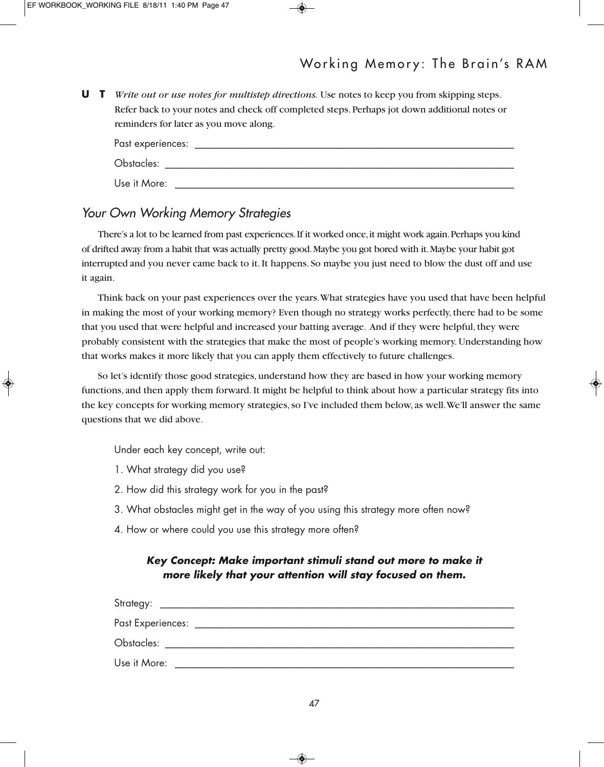**U T** *Write out or use notes for multistep directions.* Use notes to keep you from skipping steps. Refer back to your notes and check off completed steps. Perhaps jot down additional notes or reminders for later as you move along.

| Past experiences: |  |  |  |
|-------------------|--|--|--|
| Obstacles:        |  |  |  |
| Use it More:      |  |  |  |

#### *Your Own Working Memory Strategies*

There's a lot to be learned from past experiences. If it worked once, it might work again. Perhaps you kind of drifted away from a habit that was actually pretty good. Maybe you got bored with it. Maybe your habit got interrupted and you never came back to it. It happens. So maybe you just need to blow the dust off and use it again.

Think back on your past experiences over the years. What strategies have you used that have been helpful in making the most of your working memory? Even though no strategy works perfectly, there had to be some that you used that were helpful and increased your batting average. And if they were helpful, they were probably consistent with the strategies that make the most of people's working memory. Understanding how that works makes it more likely that you can apply them effectively to future challenges.

So let's identify those good strategies, understand how they are based in how your working memory functions, and then apply them forward. It might be helpful to think about how a particular strategy fits into the key concepts for working memory strategies, so I've included them below, as well. We'll answer the same questions that we did above.

Under each key concept, write out:

- 1. What strategy did you use?
- 2. How did this strategy work for you in the past?
- 3. What obstacles might get in the way of you using this strategy more often now?
- 4. How or where could you use this strategy more often?

#### *Key Concept: Make important stimuli stand out more to make it more likely that your attention will stay focused on them.*

| Strategy:         |
|-------------------|
| Past Experiences: |
| Obstacles:        |
| Use it More:      |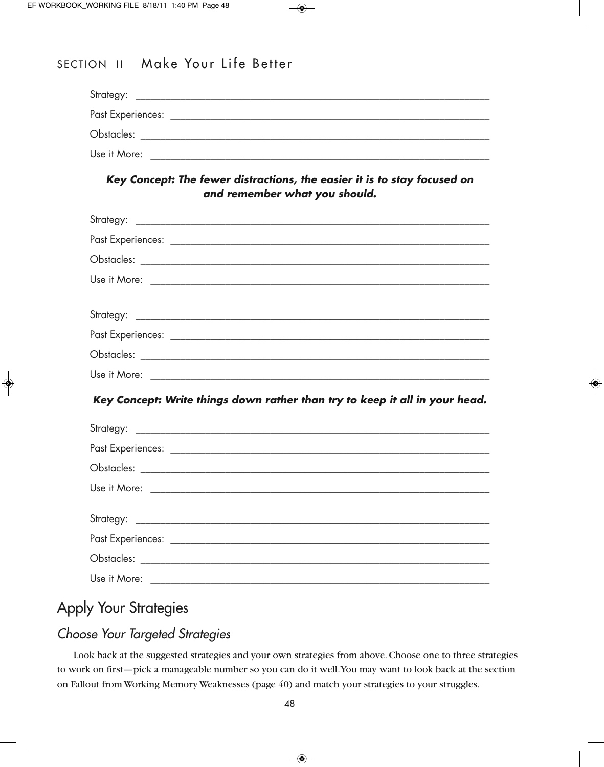| Strategy: _____________________ |
|---------------------------------|
| Past Experiences:               |
| Obstacles:                      |
| Use it More:                    |

#### *Key Concept: The fewer distractions, the easier it is to stay focused on and remember what you should.*

#### *Key Concept: Write things down rather than try to keep it all in your head.*

# **Apply Your Strategies**

#### *Choose Your Targeted Strategies*

Look back at the suggested strategies and your own strategies from above. Choose one to three strategies to work on first—pick a manageable number so you can do it well. You may want to look back at the section on Fallout from Working Memory Weaknesses (page 40) and match your strategies to your struggles.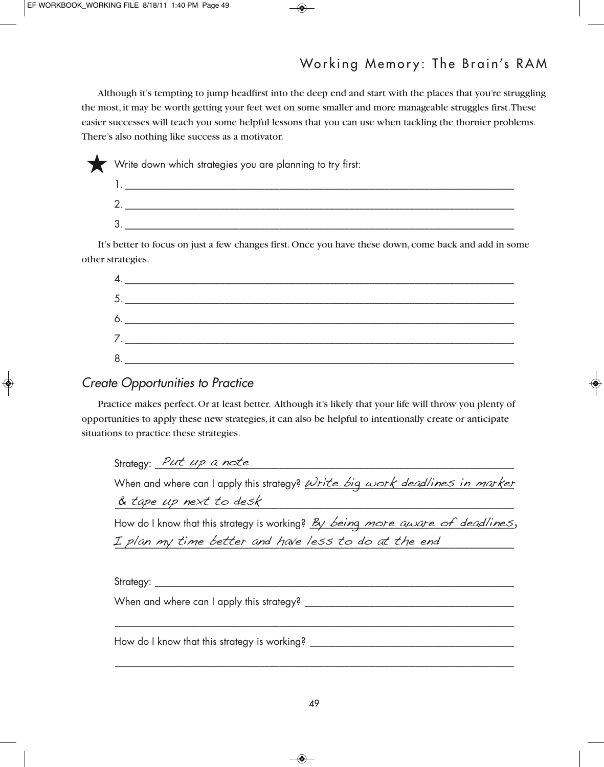#### Working Memory: The Brain's RAM

Although it's tempting to jump headfirst into the deep end and start with the places that you're struggling the most, it may be worth getting your feet wet on some smaller and more manageable struggles first. These easier successes will teach you some helpful lessons that you can use when tackling the thornier problems. There's also nothing like success as a motivator.

| Write down which strategies you are planning to try first: |
|------------------------------------------------------------|
|                                                            |
|                                                            |
|                                                            |

It's better to focus on just a few changes first. Once you have these down, come back and add in some other strategies.

| 4  |                                                        |
|----|--------------------------------------------------------|
|    | $5.$ $\overline{\phantom{a}}$                          |
| 6. | <u> 1980 - Jan James, margaret al II-lea (b. 1980)</u> |
|    | 7.                                                     |
| 8  |                                                        |

#### *Create Opportunities to Practice*

Practice makes perfect. Or at least better. Although it's likely that your life will throw you plenty of opportunities to apply these new strategies, it can also be helpful to intentionally create or anticipate situations to practice these strategies.

**Strategy: \_\_\_\_\_\_\_\_\_\_\_\_\_\_\_\_\_\_\_\_\_\_\_\_\_\_\_\_\_\_\_\_\_\_\_\_\_\_\_\_\_\_\_\_\_\_\_\_\_\_\_\_\_\_\_\_\_\_\_\_\_\_\_\_\_\_\_\_\_\_\_\_** Put up a note

| When and where can I apply this strategy? Write big work deadlines in marker |  |  |
|------------------------------------------------------------------------------|--|--|
| & tape up next to desk                                                       |  |  |

How do I know that this strategy is working? <u>By *being more aware of deadlines*,</u> I plan my time better and have less to do at the end with the send and the send of the sense of the sense of the sense of the sense of the sense of the sense of the sense of the sense of the sense of the sense of the sense

**Strategy: \_\_\_\_\_\_\_\_\_\_\_\_\_\_\_\_\_\_\_\_\_\_\_\_\_\_\_\_\_\_\_\_\_\_\_\_\_\_\_\_\_\_\_\_\_\_\_\_\_\_\_\_\_\_\_\_\_\_\_\_\_\_\_\_\_\_\_\_\_\_\_\_**

When and where can I apply this strategy? \_\_\_\_\_\_\_\_\_\_\_\_\_\_\_\_\_\_\_\_\_\_\_\_\_\_\_\_\_\_\_\_\_\_\_\_\_\_\_\_\_\_

How do I know that this strategy is working? \_\_\_\_\_\_\_\_\_\_\_\_\_\_\_\_\_\_\_\_\_\_\_\_\_\_\_\_\_\_\_\_\_\_\_

\_\_\_\_\_\_\_\_\_\_\_\_\_\_\_\_\_\_\_\_\_\_\_\_\_\_\_\_\_\_\_\_\_\_\_\_\_\_\_\_\_\_\_\_\_\_\_\_\_\_\_\_\_\_\_\_\_\_\_\_\_\_\_\_\_\_\_\_\_\_\_\_\_\_\_\_\_\_\_\_

\_\_\_\_\_\_\_\_\_\_\_\_\_\_\_\_\_\_\_\_\_\_\_\_\_\_\_\_\_\_\_\_\_\_\_\_\_\_\_\_\_\_\_\_\_\_\_\_\_\_\_\_\_\_\_\_\_\_\_\_\_\_\_\_\_\_\_\_\_\_\_\_\_\_\_\_\_\_\_\_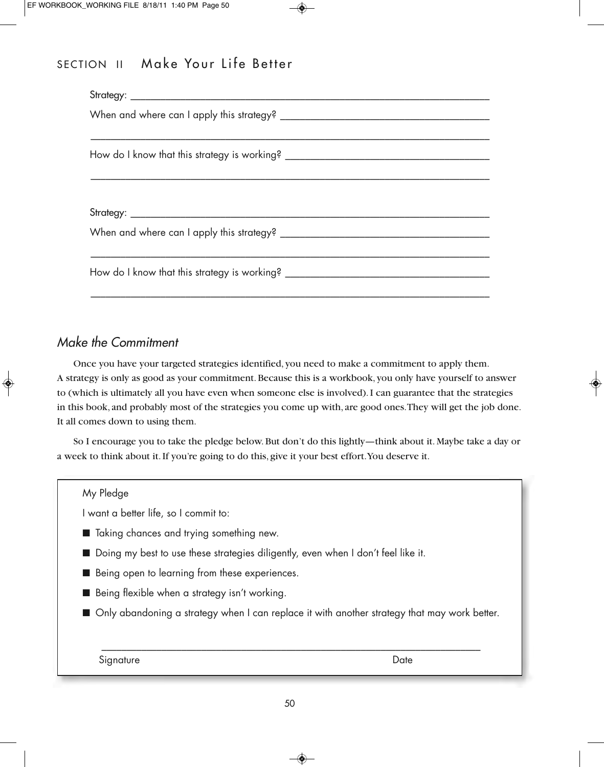| How do I know that this strategy is working? ___________________________________ |
|----------------------------------------------------------------------------------|
|                                                                                  |
|                                                                                  |
|                                                                                  |
|                                                                                  |
|                                                                                  |
| How do I know that this strategy is working? ___________________________________ |
|                                                                                  |

#### *Make the Commitment*

Once you have your targeted strategies identified, you need to make a commitment to apply them. A strategy is only as good as your commitment. Because this is a workbook, you only have yourself to answer to (which is ultimately all you have even when someone else is involved). I can guarantee that the strategies in this book, and probably most of the strategies you come up with, are good ones. They will get the job done. It all comes down to using them.

So I encourage you to take the pledge below. But don't do this lightly—think about it. Maybe take a day or a week to think about it. If you're going to do this, give it your best effort. You deserve it.

#### My Pledge

I want a better life, so I commit to:

- Taking chances and trying something new.
- Doing my best to use these strategies diligently, even when I don't feel like it.
- Being open to learning from these experiences.
- Being flexible when a strategy isn't working.
- Only abandoning a strategy when I can replace it with another strategy that may work better.

\_\_\_\_\_\_\_\_\_\_\_\_\_\_\_\_\_\_\_\_\_\_\_\_\_\_\_\_\_\_\_\_\_\_\_\_\_\_\_\_\_\_\_\_\_\_\_\_\_\_\_\_\_\_\_\_\_\_\_\_\_\_\_\_\_\_\_\_\_\_\_\_\_\_\_\_

Signature Date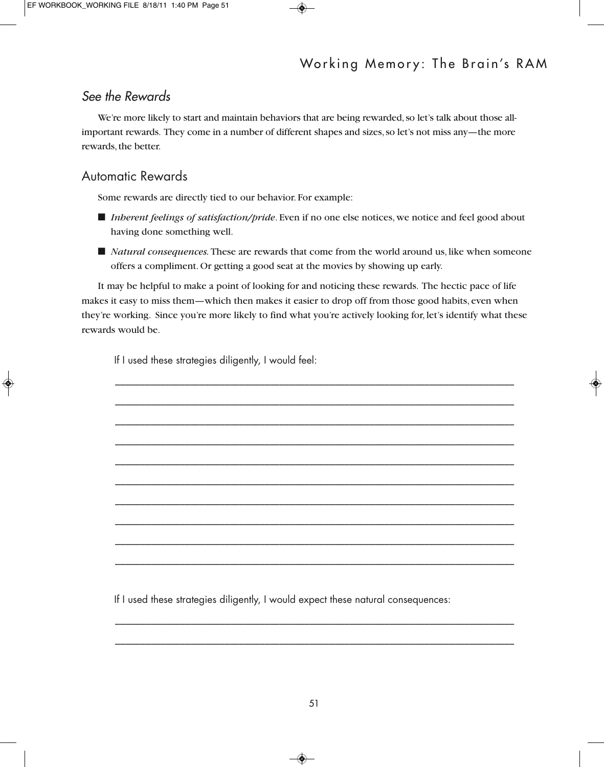#### *See the Rewards*

We're more likely to start and maintain behaviors that are being rewarded, so let's talk about those allimportant rewards. They come in a number of different shapes and sizes, so let's not miss any—the more rewards, the better.

#### Automatic Rewards

Some rewards are directly tied to our behavior. For example:

- *Inherent feelings of satisfaction/pride*. Even if no one else notices, we notice and feel good about having done something well.
- *Natural consequences*. These are rewards that come from the world around us, like when someone offers a compliment. Or getting a good seat at the movies by showing up early.

It may be helpful to make a point of looking for and noticing these rewards. The hectic pace of life makes it easy to miss them—which then makes it easier to drop off from those good habits, even when they're working. Since you're more likely to find what you're actively looking for, let's identify what these rewards would be.

\_\_\_\_\_\_\_\_\_\_\_\_\_\_\_\_\_\_\_\_\_\_\_\_\_\_\_\_\_\_\_\_\_\_\_\_\_\_\_\_\_\_\_\_\_\_\_\_\_\_\_\_\_\_\_\_\_\_\_\_\_\_\_\_\_\_\_\_\_\_\_\_\_\_\_\_\_\_\_\_

\_\_\_\_\_\_\_\_\_\_\_\_\_\_\_\_\_\_\_\_\_\_\_\_\_\_\_\_\_\_\_\_\_\_\_\_\_\_\_\_\_\_\_\_\_\_\_\_\_\_\_\_\_\_\_\_\_\_\_\_\_\_\_\_\_\_\_\_\_\_\_\_\_\_\_\_\_\_\_\_

\_\_\_\_\_\_\_\_\_\_\_\_\_\_\_\_\_\_\_\_\_\_\_\_\_\_\_\_\_\_\_\_\_\_\_\_\_\_\_\_\_\_\_\_\_\_\_\_\_\_\_\_\_\_\_\_\_\_\_\_\_\_\_\_\_\_\_\_\_\_\_\_\_\_\_\_\_\_\_\_

\_\_\_\_\_\_\_\_\_\_\_\_\_\_\_\_\_\_\_\_\_\_\_\_\_\_\_\_\_\_\_\_\_\_\_\_\_\_\_\_\_\_\_\_\_\_\_\_\_\_\_\_\_\_\_\_\_\_\_\_\_\_\_\_\_\_\_\_\_\_\_\_\_\_\_\_\_\_\_\_

\_\_\_\_\_\_\_\_\_\_\_\_\_\_\_\_\_\_\_\_\_\_\_\_\_\_\_\_\_\_\_\_\_\_\_\_\_\_\_\_\_\_\_\_\_\_\_\_\_\_\_\_\_\_\_\_\_\_\_\_\_\_\_\_\_\_\_\_\_\_\_\_\_\_\_\_\_\_\_\_

\_\_\_\_\_\_\_\_\_\_\_\_\_\_\_\_\_\_\_\_\_\_\_\_\_\_\_\_\_\_\_\_\_\_\_\_\_\_\_\_\_\_\_\_\_\_\_\_\_\_\_\_\_\_\_\_\_\_\_\_\_\_\_\_\_\_\_\_\_\_\_\_\_\_\_\_\_\_\_\_

\_\_\_\_\_\_\_\_\_\_\_\_\_\_\_\_\_\_\_\_\_\_\_\_\_\_\_\_\_\_\_\_\_\_\_\_\_\_\_\_\_\_\_\_\_\_\_\_\_\_\_\_\_\_\_\_\_\_\_\_\_\_\_\_\_\_\_\_\_\_\_\_\_\_\_\_\_\_\_\_

\_\_\_\_\_\_\_\_\_\_\_\_\_\_\_\_\_\_\_\_\_\_\_\_\_\_\_\_\_\_\_\_\_\_\_\_\_\_\_\_\_\_\_\_\_\_\_\_\_\_\_\_\_\_\_\_\_\_\_\_\_\_\_\_\_\_\_\_\_\_\_\_\_\_\_\_\_\_\_\_

\_\_\_\_\_\_\_\_\_\_\_\_\_\_\_\_\_\_\_\_\_\_\_\_\_\_\_\_\_\_\_\_\_\_\_\_\_\_\_\_\_\_\_\_\_\_\_\_\_\_\_\_\_\_\_\_\_\_\_\_\_\_\_\_\_\_\_\_\_\_\_\_\_\_\_\_\_\_\_\_

\_\_\_\_\_\_\_\_\_\_\_\_\_\_\_\_\_\_\_\_\_\_\_\_\_\_\_\_\_\_\_\_\_\_\_\_\_\_\_\_\_\_\_\_\_\_\_\_\_\_\_\_\_\_\_\_\_\_\_\_\_\_\_\_\_\_\_\_\_\_\_\_\_\_\_\_\_\_\_\_

\_\_\_\_\_\_\_\_\_\_\_\_\_\_\_\_\_\_\_\_\_\_\_\_\_\_\_\_\_\_\_\_\_\_\_\_\_\_\_\_\_\_\_\_\_\_\_\_\_\_\_\_\_\_\_\_\_\_\_\_\_\_\_\_\_\_\_\_\_\_\_\_\_\_\_\_\_\_\_\_

\_\_\_\_\_\_\_\_\_\_\_\_\_\_\_\_\_\_\_\_\_\_\_\_\_\_\_\_\_\_\_\_\_\_\_\_\_\_\_\_\_\_\_\_\_\_\_\_\_\_\_\_\_\_\_\_\_\_\_\_\_\_\_\_\_\_\_\_\_\_\_\_\_\_\_\_\_\_\_\_

If I used these strategies diligently, I would feel:

If I used these strategies diligently, I would expect these natural consequences: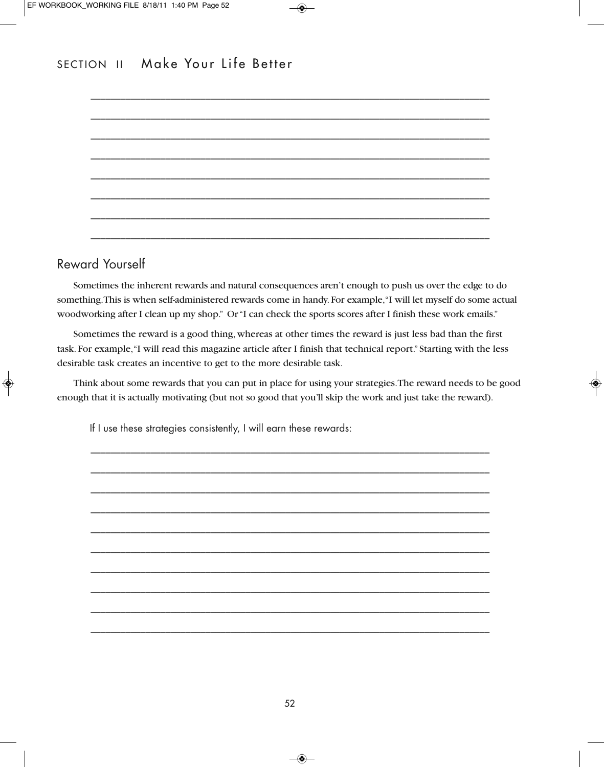

#### **Reward Yourself**

Sometimes the inherent rewards and natural consequences aren't enough to push us over the edge to do something. This is when self-administered rewards come in handy. For example, "I will let myself do some actual woodworking after I clean up my shop." Or "I can check the sports scores after I finish these work emails."

Sometimes the reward is a good thing, whereas at other times the reward is just less bad than the first task. For example, "I will read this magazine article after I finish that technical report." Starting with the less desirable task creates an incentive to get to the more desirable task.

Think about some rewards that you can put in place for using your strategies. The reward needs to be good enough that it is actually motivating (but not so good that you'll skip the work and just take the reward).

If I use these strategies consistently, I will earn these rewards:

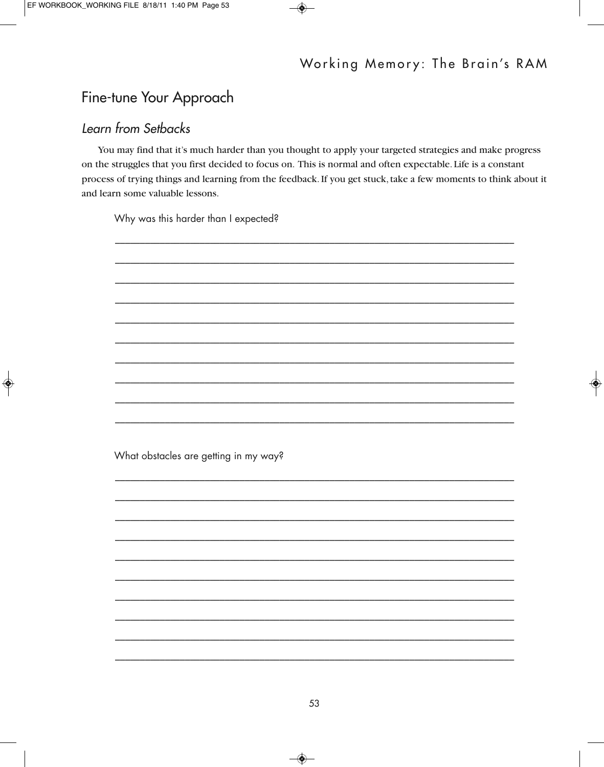#### Working Memory: The Brain's RAM

# Fine-tune Your Approach

#### Learn from Setbacks

You may find that it's much harder than you thought to apply your targeted strategies and make progress on the struggles that you first decided to focus on. This is normal and often expectable. Life is a constant process of trying things and learning from the feedback. If you get stuck, take a few moments to think about it and learn some valuable lessons.

Why was this harder than I expected?

What obstacles are getting in my way?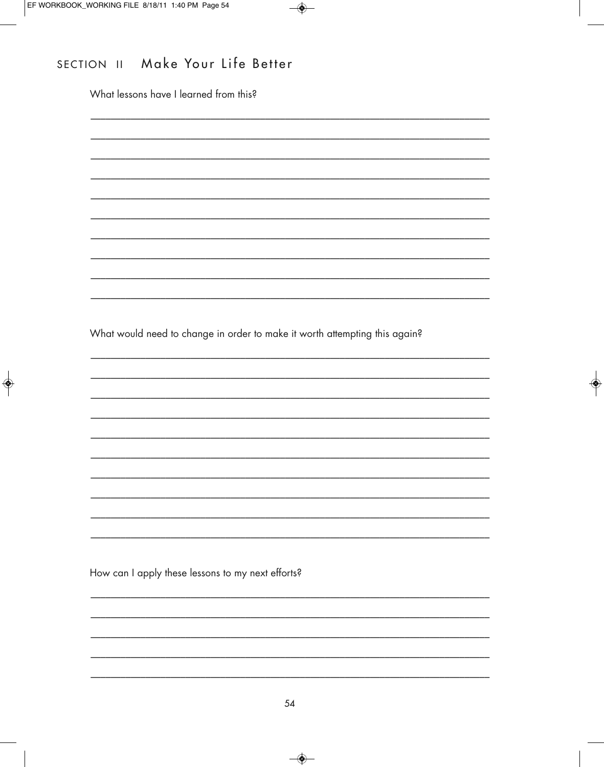| What lessons have I learned from this?                                     |  |
|----------------------------------------------------------------------------|--|
|                                                                            |  |
|                                                                            |  |
|                                                                            |  |
|                                                                            |  |
|                                                                            |  |
|                                                                            |  |
|                                                                            |  |
|                                                                            |  |
|                                                                            |  |
|                                                                            |  |
| What would need to change in order to make it worth attempting this again? |  |
|                                                                            |  |
|                                                                            |  |
|                                                                            |  |
|                                                                            |  |
|                                                                            |  |
|                                                                            |  |
|                                                                            |  |
|                                                                            |  |
|                                                                            |  |
|                                                                            |  |
|                                                                            |  |
|                                                                            |  |
| How can I apply these lessons to my next efforts?                          |  |
|                                                                            |  |
|                                                                            |  |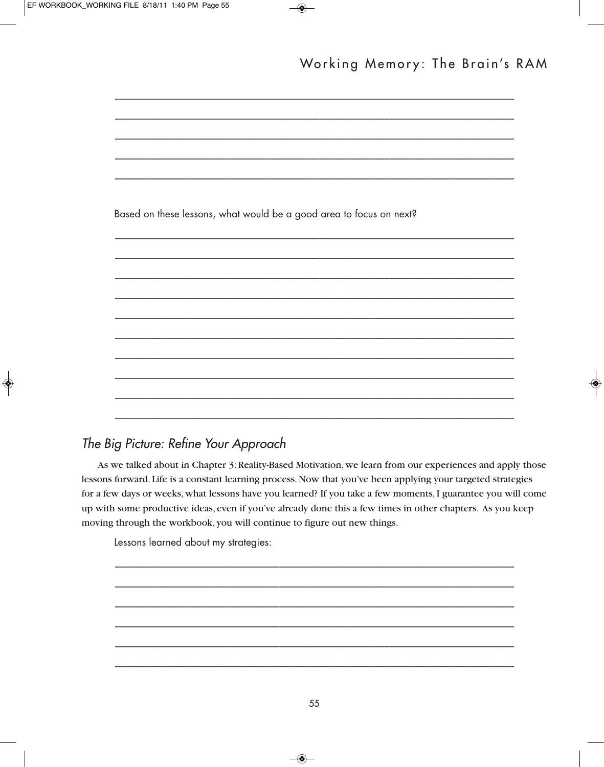

#### The Big Picture: Refine Your Approach

As we talked about in Chapter 3: Reality-Based Motivation, we learn from our experiences and apply those lessons forward. Life is a constant learning process. Now that you've been applying your targeted strategies for a few days or weeks, what lessons have you learned? If you take a few moments, I guarantee you will come up with some productive ideas, even if you've already done this a few times in other chapters. As you keep moving through the workbook, you will continue to figure out new things.

Lessons learned about my strategies: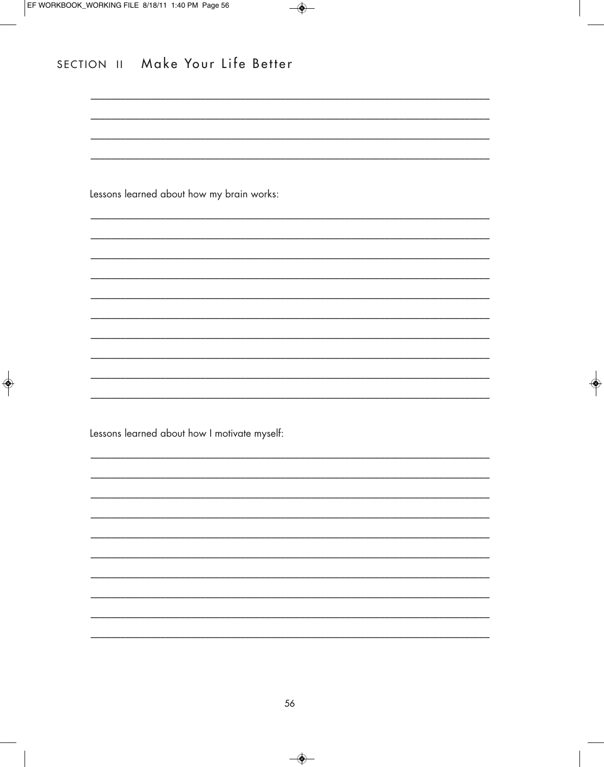Lessons learned about how my brain works:

Lessons learned about how I motivate myself: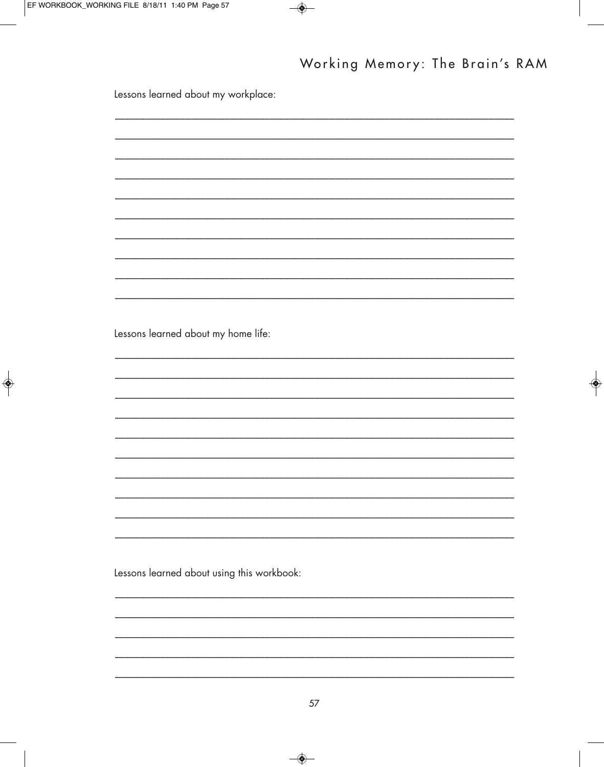Lessons learned about my workplace: <u>and the contract of the contract of the contract of the contract of the contract of the contract of the contract of the contract of the contract of the contract of the contract of the contract of the contract of the contr</u> Lessons learned about my home life: Lessons learned about using this workbook: